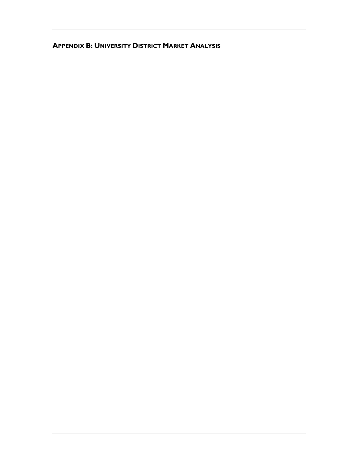# **APPENDIX B: UNIVERSITY DISTRICT MARKET ANALYSIS**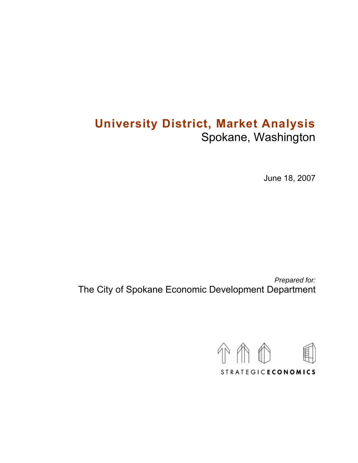# **University District, Market Analysis**  Spokane, Washington

June 18, 2007

*Prepared for:*  The City of Spokane Economic Development Department

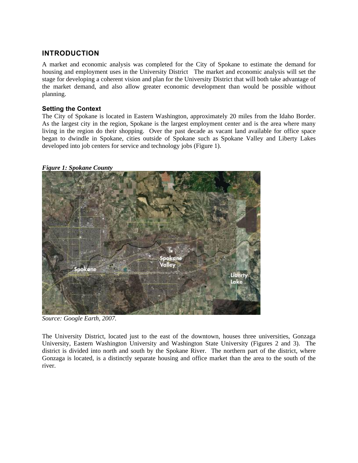# **INTRODUCTION**

A market and economic analysis was completed for the City of Spokane to estimate the demand for housing and employment uses in the University District The market and economic analysis will set the stage for developing a coherent vision and plan for the University District that will both take advantage of the market demand, and also allow greater economic development than would be possible without planning.

## **Setting the Context**

The City of Spokane is located in Eastern Washington, approximately 20 miles from the Idaho Border. As the largest city in the region, Spokane is the largest employment center and is the area where many living in the region do their shopping. Over the past decade as vacant land available for office space began to dwindle in Spokane, cities outside of Spokane such as Spokane Valley and Liberty Lakes developed into job centers for service and technology jobs (Figure 1).

## *Figure 1: Spokane County*



*Source: Google Earth, 2007.* 

The University District, located just to the east of the downtown, houses three universities, Gonzaga University, Eastern Washington University and Washington State University (Figures 2 and 3). The district is divided into north and south by the Spokane River. The northern part of the district, where Gonzaga is located, is a distinctly separate housing and office market than the area to the south of the river.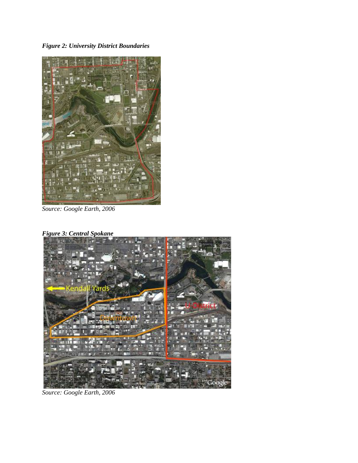*Figure 2: University District Boundaries*



*Source: Google Earth, 2006* 

*Figure 3: Central Spokane*



*Source: Google Earth, 2006*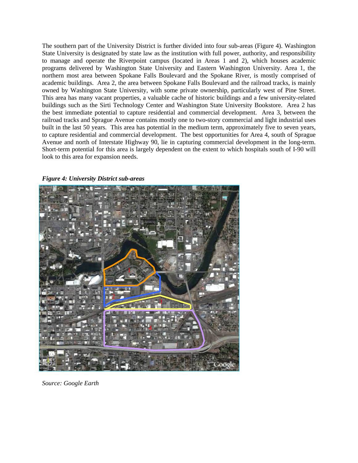The southern part of the University District is further divided into four sub-areas (Figure 4). Washington State University is designated by state law as the institution with full power, authority, and responsibility to manage and operate the Riverpoint campus (located in Areas 1 and 2), which houses academic programs delivered by Washington State University and Eastern Washington University. Area 1, the northern most area between Spokane Falls Boulevard and the Spokane River, is mostly comprised of academic buildings. Area 2, the area between Spokane Falls Boulevard and the railroad tracks, is mainly owned by Washington State University, with some private ownership, particularly west of Pine Street. This area has many vacant properties, a valuable cache of historic buildings and a few university-related buildings such as the Sirti Technology Center and Washington State University Bookstore. Area 2 has the best immediate potential to capture residential and commercial development. Area 3, between the railroad tracks and Sprague Avenue contains mostly one to two-story commercial and light industrial uses built in the last 50 years. This area has potential in the medium term, approximately five to seven years, to capture residential and commercial development. The best opportunities for Area 4, south of Sprague Avenue and north of Interstate Highway 90, lie in capturing commercial development in the long-term. Short-term potential for this area is largely dependent on the extent to which hospitals south of I-90 will look to this area for expansion needs.

#### *Figure 4: University District sub-areas*



*Source: Google Earth*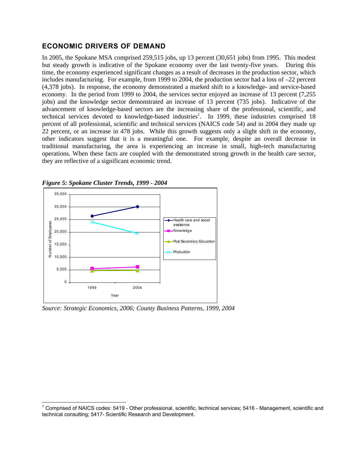# **ECONOMIC DRIVERS OF DEMAND**

In 2005, the Spokane MSA comprised 259,515 jobs, up 13 percent (30,651 jobs) from 1995. This modest but steady growth is indicative of the Spokane economy over the last twenty-five years. During this time, the economy experienced significant changes as a result of decreases in the production sector, which includes manufacturing. For example, from 1999 to 2004, the production sector had a loss of –22 percent (4,378 jobs). In response, the economy demonstrated a marked shift to a knowledge- and service-based economy. In the period from 1999 to 2004, the services sector enjoyed an increase of 13 percent (7,255 jobs) and the knowledge sector demonstrated an increase of 13 percent (735 jobs). Indicative of the advancement of knowledge-based sectors are the increasing share of the professional, scientific, and technical services devoted to knowledge-based industries<sup>1</sup>. In 1999, these industries comprised 18 percent of all professional, scientific and technical services (NAICS code 54) and in 2004 they made up 22 percent, or an increase in 478 jobs. While this growth suggests only a slight shift in the economy, other indicators suggest that it is a meaningful one. For example, despite an overall decrease in traditional manufacturing, the area is experiencing an increase in small, high-tech manufacturing operations. When these facts are coupled with the demonstrated strong growth in the health care sector, they are reflective of a significant economic trend.



*Figure 5: Spokane Cluster Trends, 1999 - 2004*

*Source: Strategic Economics, 2006; County Business Patterns, 1999, 2004* 

<span id="page-5-0"></span>1 Comprised of NAICS codes: 5419 - Other professional, scientific, technical services; 5416 - Management, scientific and technical consulting; 5417- Scientific Research and Development.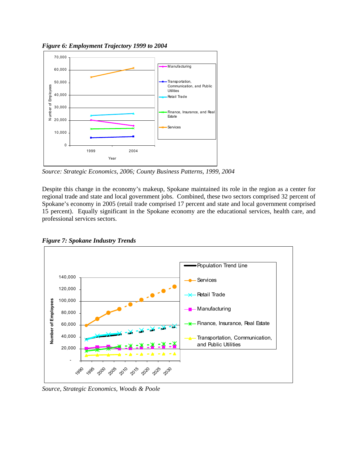*Figure 6: Employment Trajectory 1999 to 2004* 



*Source: Strategic Economics, 2006; County Business Patterns, 1999, 2004*

Despite this change in the economy's makeup, Spokane maintained its role in the region as a center for regional trade and state and local government jobs. Combined, these two sectors comprised 32 percent of Spokane's economy in 2005 (retail trade comprised 17 percent and state and local government comprised 15 percent). Equally significant in the Spokane economy are the educational services, health care, and professional services sectors.





*Source, Strategic Economics, Woods & Poole*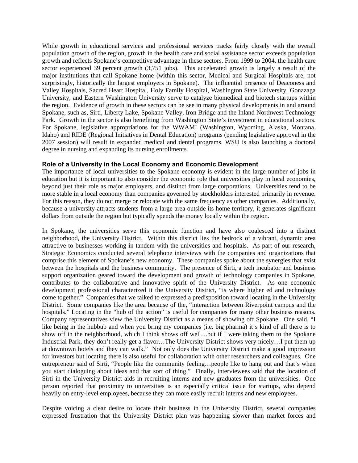While growth in educational services and professional services tracks fairly closely with the overall population growth of the region, growth in the health care and social assistance sector exceeds population growth and reflects Spokane's competitive advantage in these sectors. From 1999 to 2004, the health care sector experienced 39 percent growth  $(3,751 \text{ jobs})$ . This accelerated growth is largely a result of the major institutions that call Spokane home (within this sector, Medical and Surgical Hospitals are, not surprisingly, historically the largest employers in Spokane). The influential presence of Deaconess and Valley Hospitals, Sacred Heart Hospital, Holy Family Hospital, Washington State University, Gonazaga University, and Eastern Washington University serve to catalyze biomedical and biotech startups within the region. Evidence of growth in these sectors can be see in many physical developments in and around Spokane, such as, Sirti, Liberty Lake, Spokane Valley, Iron Bridge and the Inland Northwest Technology Park. Growth in the sector is also benefiting from Washington State's investment in educational sectors. For Spokane, legislative appropriations for the WWAMI (Washington, Wyoming, Alaska, Montana, Idaho) and RIDE (Regional Initiatives in Dental Education) programs (pending legislative approval in the 2007 session) will result in expanded medical and dental programs. WSU is also launching a doctoral degree in nursing and expanding its nursing enrollments.

## **Role of a University in the Local Economy and Economic Development**

The importance of local universities to the Spokane economy is evident in the large number of jobs in education but it is important to also consider the economic role that universities play in local economies, beyond just their role as major employers, and distinct from large corporations. Universities tend to be more stable in a local economy than companies governed by stockholders interested primarily in revenue. For this reason, they do not merge or relocate with the same frequency as other companies. Additionally, because a university attracts students from a large area outside its home territory, it generates significant dollars from outside the region but typically spends the money locally within the region.

In Spokane, the universities serve this economic function and have also coalesced into a distinct neighborhood, the University District. Within this district lies the bedrock of a vibrant, dynamic area attractive to businesses working in tandem with the universities and hospitals. As part of our research, Strategic Economics conducted several telephone interviews with the companies and organizations that comprise this element of Spokane's new economy. These companies spoke about the synergies that exist between the hospitals and the business community. The presence of Sirti, a tech incubator and business support organization geared toward the development and growth of technology companies in Spokane, contributes to the collaborative and innovative spirit of the University District. As one economic development professional characterized it the University District, "is where higher ed and technology come together." Companies that we talked to expressed a predisposition toward locating in the University District. Some companies like the area because of the, "interaction between Riverpoint campus and the hospitals." Locating in the "hub of the action" is useful for companies for many other business reasons. Company representatives view the University District as a means of showing off Spokane. One said, "I like being in the hubbub and when you bring my companies (i.e. big pharma) it's kind of all there is to show off in the neighborhood, which I think shows off well…but if I were taking them to the Spokane Industrial Park, they don't really get a flavor…The University District shows very nicely…I put them up at downtown hotels and they can walk." Not only does the University District make a good impression for investors but locating there is also useful for collaboration with other researchers and colleagues. One entrepreneur said of Sirti, "People like the community feeling…people like to hang out and that's when you start dialoguing about ideas and that sort of thing." Finally, interviewees said that the location of Sirti in the University District aids in recruiting interns and new graduates from the universities. One person reported that proximity to universities is an especially critical issue for startups, who depend heavily on entry-level employees, because they can more easily recruit interns and new employees.

Despite voicing a clear desire to locate their business in the University District, several companies expressed frustration that the University District plan was happening slower than market forces and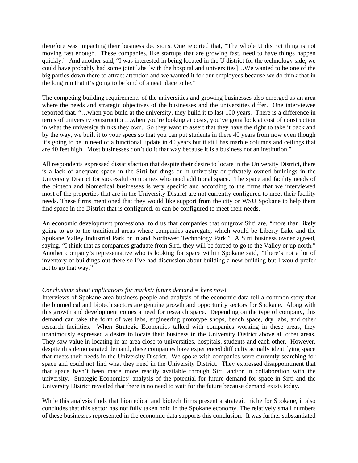therefore was impacting their business decisions. One reported that, "The whole U district thing is not moving fast enough. These companies, like startups that are growing fast, need to have things happen quickly." And another said, "I was interested in being located in the U district for the technology side, we could have probably had some joint labs [with the hospital and universities]…We wanted to be one of the big parties down there to attract attention and we wanted it for our employees because we do think that in the long run that it's going to be kind of a neat place to be."

The competing building requirements of the universities and growing businesses also emerged as an area where the needs and strategic objectives of the businesses and the universities differ. One interviewee reported that, "…when you build at the university, they build it to last 100 years. There is a difference in terms of university construction…when you're looking at costs, you've gotta look at cost of construction in what the university thinks they own. So they want to assert that they have the right to take it back and by the way, we built it to your specs so that you can put students in there 40 years from now even though it's going to be in need of a functional update in 40 years but it still has marble columns and ceilings that are 40 feet high. Most businesses don't do it that way because it is a business not an institution."

All respondents expressed dissatisfaction that despite their desire to locate in the University District, there is a lack of adequate space in the Sirti buildings or in university or privately owned buildings in the University District for successful companies who need additional space. The space and facility needs of the biotech and biomedical businesses is very specific and according to the firms that we interviewed most of the properties that are in the University District are not currently configured to meet their facility needs. These firms mentioned that they would like support from the city or WSU Spokane to help them find space in the District that is configured, or can be configured to meet their needs.

An economic development professional told us that companies that outgrow Sirti are, "more than likely going to go to the traditional areas where companies aggregate, which would be Liberty Lake and the Spokane Valley Industrial Park or Inland Northwest Technology Park." A Sirti business owner agreed, saying, "I think that as companies graduate from Sirti, they will be forced to go to the Valley or up north." Another company's representative who is looking for space within Spokane said, "There's not a lot of inventory of buildings out there so I've had discussion about building a new building but I would prefer not to go that way."

## *Conclusions about implications for market: future demand = here now!*

Interviews of Spokane area business people and analysis of the economic data tell a common story that the biomedical and biotech sectors are genuine growth and opportunity sectors for Spokane. Along with this growth and development comes a need for research space. Depending on the type of company, this demand can take the form of wet labs, engineering prototype shops, bench space, dry labs, and other research facilities. When Strategic Economics talked with companies working in these areas, they unanimously expressed a desire to locate their business in the University District above all other areas. They saw value in locating in an area close to universities, hospitals, students and each other. However, despite this demonstrated demand, these companies have experienced difficulty actually identifying space that meets their needs in the University District. We spoke with companies were currently searching for space and could not find what they need in the University District. They expressed disappointment that that space hasn't been made more readily available through Sirti and/or in collaboration with the university. Strategic Economics' analysis of the potential for future demand for space in Sirti and the University District revealed that there is no need to wait for the future because demand exists today.

While this analysis finds that biomedical and biotech firms present a strategic niche for Spokane, it also concludes that this sector has not fully taken hold in the Spokane economy. The relatively small numbers of these businesses represented in the economic data supports this conclusion. It was further substantiated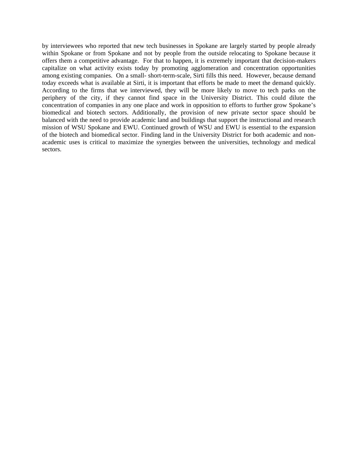by interviewees who reported that new tech businesses in Spokane are largely started by people already within Spokane or from Spokane and not by people from the outside relocating to Spokane because it offers them a competitive advantage. For that to happen, it is extremely important that decision-makers capitalize on what activity exists today by promoting agglomeration and concentration opportunities among existing companies. On a small- short-term-scale, Sirti fills this need. However, because demand today exceeds what is available at Sirti, it is important that efforts be made to meet the demand quickly. According to the firms that we interviewed, they will be more likely to move to tech parks on the periphery of the city, if they cannot find space in the University District. This could dilute the concentration of companies in any one place and work in opposition to efforts to further grow Spokane's biomedical and biotech sectors. Additionally, the provision of new private sector space should be balanced with the need to provide academic land and buildings that support the instructional and research mission of WSU Spokane and EWU. Continued growth of WSU and EWU is essential to the expansion of the biotech and biomedical sector. Finding land in the University District for both academic and nonacademic uses is critical to maximize the synergies between the universities, technology and medical sectors.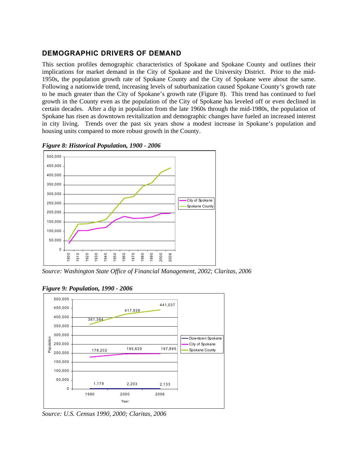# **DEMOGRAPHIC DRIVERS OF DEMAND**

This section profiles demographic characteristics of Spokane and Spokane County and outlines their implications for market demand in the City of Spokane and the University District. Prior to the mid-1950s, the population growth rate of Spokane County and the City of Spokane were about the same. Following a nationwide trend, increasing levels of suburbanization caused Spokane County's growth rate to be much greater than the City of Spokane's growth rate (Figure 8). This trend has continued to fuel growth in the County even as the population of the City of Spokane has leveled off or even declined in certain decades. After a dip in population from the late 1960s through the mid-1980s, the population of Spokane has risen as downtown revitalization and demographic changes have fueled an increased interest in city living. Trends over the past six years show a modest increase in Spokane's population and housing units compared to more robust growth in the County.



*Figure 8: Historical Population, 1900 - 2006* 

*Source: Washington State Office of Financial Management, 2002; Claritas, 2006* 



*Figure 9: Population, 1990 - 2006*

*Source: U.S. Census 1990, 2000; Claritas, 2006*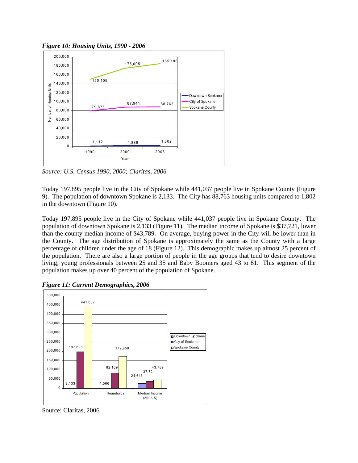



*Source: U.S. Census 1990, 2000; Claritas, 2006* 

Today 197,895 people live in the City of Spokane while 441,037 people live in Spokane County (Figure 9). The population of downtown Spokane is 2,133. The City has 88,763 housing units compared to 1,802 in the downtown (Figure 10).

Today 197,895 people live in the City of Spokane while 441,037 people live in Spokane County. The population of downtown Spokane is 2,133 (Figure 11). The median income of Spokane is \$37,721, lower than the county median income of \$43,789. On average, buying power in the City will be lower than in the County. The age distribution of Spokane is approximately the same as the County with a large percentage of children under the age of 18 (Figure 12). This demographic makes up almost 25 percent of the population. There are also a large portion of people in the age groups that tend to desire downtown living; young professionals between 25 and 35 and Baby Boomers aged 43 to 61. This segment of the population makes up over 40 percent of the population of Spokane.



*Figure 11: Current Demographics, 2006* 

Source: Claritas, 2006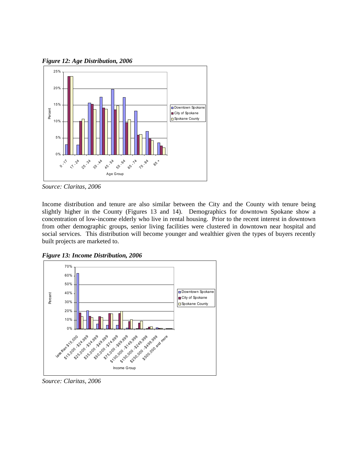*Figure 12: Age Distribution, 2006* 



*Source: Claritas, 2006* 

Income distribution and tenure are also similar between the City and the County with tenure being slightly higher in the County (Figures 13 and 14). Demographics for downtown Spokane show a concentration of low-income elderly who live in rental housing. Prior to the recent interest in downtown from other demographic groups, senior living facilities were clustered in downtown near hospital and social services. This distribution will become younger and wealthier given the types of buyers recently built projects are marketed to.



*Figure 13: Income Distribution, 2006*

*Source: Claritas, 2006*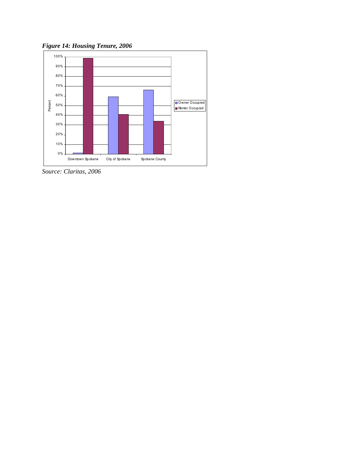*Figure 14: Housing Tenure, 2006* 



*Source: Claritas, 2006*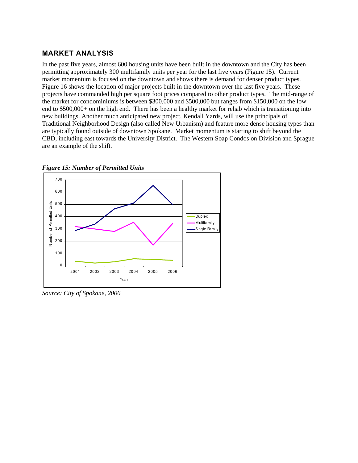# **MARKET ANALYSIS**

In the past five years, almost 600 housing units have been built in the downtown and the City has been permitting approximately 300 multifamily units per year for the last five years (Figure 15). Current market momentum is focused on the downtown and shows there is demand for denser product types. Figure 16 shows the location of major projects built in the downtown over the last five years. These projects have commanded high per square foot prices compared to other product types. The mid-range of the market for condominiums is between \$300,000 and \$500,000 but ranges from \$150,000 on the low end to \$500,000+ on the high end. There has been a healthy market for rehab which is transitioning into new buildings. Another much anticipated new project, Kendall Yards, will use the principals of Traditional Neighborhood Design (also called New Urbanism) and feature more dense housing types than are typically found outside of downtown Spokane. Market momentum is starting to shift beyond the CBD, including east towards the University District. The Western Soap Condos on Division and Sprague are an example of the shift.





*Source: City of Spokane, 2006*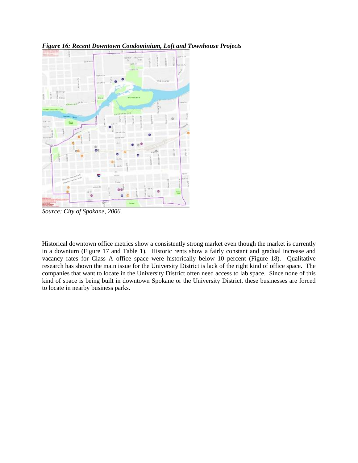

*Figure 16: Recent Downtown Condominium, Loft and Townhouse Projects* 

*Source: City of Spokane, 2006.* 

Historical downtown office metrics show a consistently strong market even though the market is currently in a downturn (Figure 17 and Table 1). Historic rents show a fairly constant and gradual increase and vacancy rates for Class A office space were historically below 10 percent (Figure 18). Qualitative research has shown the main issue for the University District is lack of the right kind of office space. The companies that want to locate in the University District often need access to lab space. Since none of this kind of space is being built in downtown Spokane or the University District, these businesses are forced to locate in nearby business parks.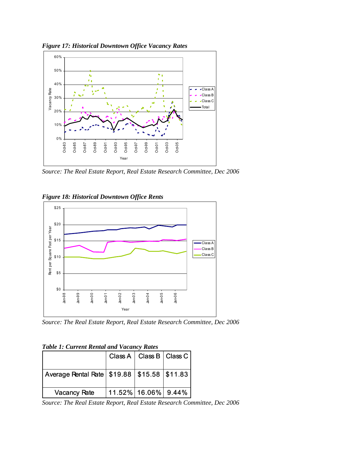



*Source: The Real Estate Report, Real Estate Research Committee, Dec 2006* 

## *Figure 18: Historical Downtown Office Rents*



*Source: The Real Estate Report, Real Estate Research Committee, Dec 2006* 

## *Table 1: Current Rental and Vacancy Rates*

|                                                   |                            | Class A   Class B   Class C |  |  |  |  |
|---------------------------------------------------|----------------------------|-----------------------------|--|--|--|--|
| Average Rental Rate   \$19.88   \$15.58   \$11.83 |                            |                             |  |  |  |  |
| <b>Vacancy Rate</b>                               | $ 11.52\% 16.06\% 9.44\% $ |                             |  |  |  |  |

*Source: The Real Estate Report, Real Estate Research Committee, Dec 2006*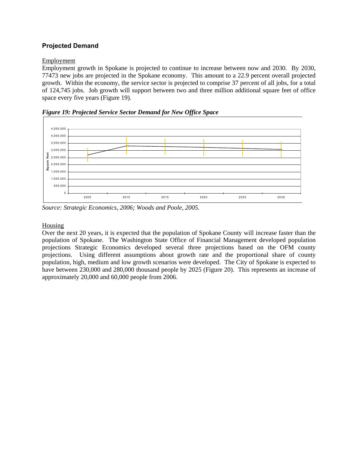# **Projected Demand**

## **Employment**

Employment growth in Spokane is projected to continue to increase between now and 2030. By 2030, 77473 new jobs are projected in the Spokane economy. This amount to a 22.9 percent overall projected growth. Within the economy, the service sector is projected to comprise 37 percent of all jobs, for a total of 124,745 jobs. Job growth will support between two and three million additional square feet of office space every five years (Figure 19).



*Figure 19: Projected Service Sector Demand for New Office Space* 

*Source: Strategic Economics, 2006; Woods and Poole, 2005.* 

## Housing

Over the next 20 years, it is expected that the population of Spokane County will increase faster than the population of Spokane. The Washington State Office of Financial Management developed population projections Strategic Economics developed several three projections based on the OFM county projections. Using different assumptions about growth rate and the proportional share of county population, high, medium and low growth scenarios were developed. The City of Spokane is expected to have between 230,000 and 280,000 thousand people by 2025 (Figure 20). This represents an increase of approximately 20,000 and 60,000 people from 2006.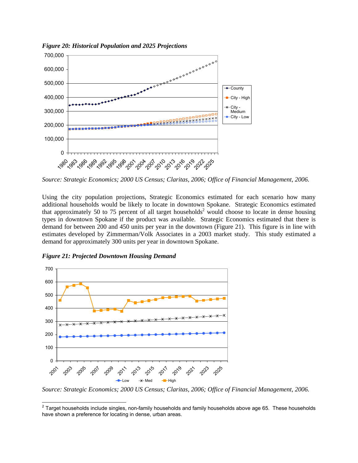

*Figure 20: Historical Population and 2025 Projections*

*Source: Strategic Economics; 2000 US Census; Claritas, 2006; Office of Financial Management, 2006.* 

Using the city population projections, Strategic Economics estimated for each scenario how many additional households would be likely to locate in downtown Spokane. Strategic Economics estimated that approximately 50 to 75 percent of all target households<sup>[2](#page-18-0)</sup> would choose to locate in dense housing types in downtown Spokane if the product was available. Strategic Economics estimated that there is demand for between 200 and 450 units per year in the downtown (Figure 21). This figure is in line with estimates developed by Zimmerman/Volk Associates in a 2003 market study. This study estimated a demand for approximately 300 units per year in downtown Spokane.



*Figure 21: Projected Downtown Housing Demand* 

*Source: Strategic Economics; 2000 US Census; Claritas, 2006; Office of Financial Management, 2006.* 

<span id="page-18-0"></span> $2$  Target households include singles, non-family households and family households above age 65. These households have shown a preference for locating in dense, urban areas.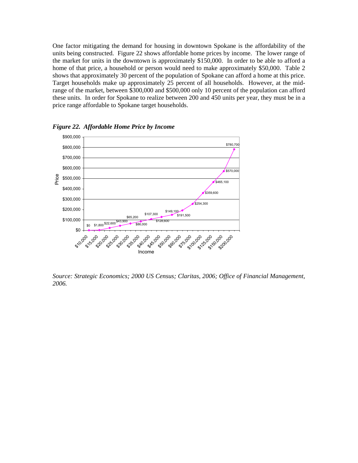One factor mitigating the demand for housing in downtown Spokane is the affordability of the units being constructed. Figure 22 shows affordable home prices by income. The lower range of the market for units in the downtown is approximately \$150,000. In order to be able to afford a home of that price, a household or person would need to make approximately \$50,000. Table 2 shows that approximately 30 percent of the population of Spokane can afford a home at this price. Target households make up approximately 25 percent of all households. However, at the midrange of the market, between \$300,000 and \$500,000 only 10 percent of the population can afford these units. In order for Spokane to realize between 200 and 450 units per year, they must be in a price range affordable to Spokane target households.



*Figure 22. Affordable Home Price by Income* 

*Source: Strategic Economics; 2000 US Census; Claritas, 2006; Office of Financial Management, 2006.*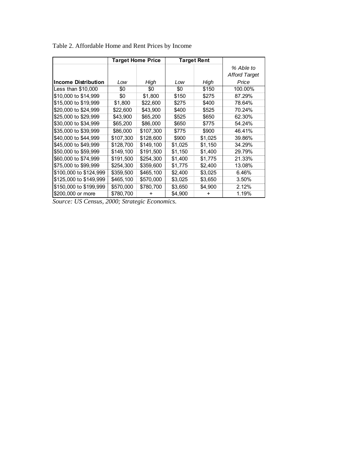|                            | <b>Target Home Price</b> |           | <b>Target Rent</b> |         |                      |
|----------------------------|--------------------------|-----------|--------------------|---------|----------------------|
|                            |                          |           |                    |         | % Able to            |
|                            |                          |           |                    |         | <b>Afford Target</b> |
| <b>Income Distribution</b> | Low                      | High      | Low                | High    | Price                |
| Less than \$10,000         | \$0                      | \$0       | \$0                | \$150   | 100.00%              |
| \$10,000 to \$14,999       | \$0                      | \$1,800   | \$150              | \$275   | 87.29%               |
| \$15,000 to \$19,999       | \$1,800                  | \$22,600  | \$275              | \$400   | 78.64%               |
| \$20,000 to \$24,999       | \$22,600                 | \$43,900  | \$400              | \$525   | 70.24%               |
| \$25,000 to \$29,999       | \$43,900                 | \$65,200  | \$525              | \$650   | 62.30%               |
| \$30,000 to \$34,999       | \$65,200                 | \$86,000  | \$650              | \$775   | 54.24%               |
| \$35,000 to \$39,999       | \$86,000                 | \$107.300 | \$775              | \$900   | 46.41%               |
| \$40,000 to \$44,999       | \$107,300                | \$128,600 | \$900              | \$1,025 | 39.86%               |
| \$45,000 to \$49,999       | \$128,700                | \$149,100 | \$1,025            | \$1,150 | 34.29%               |
| \$50,000 to \$59,999       | \$149,100                | \$191,500 | \$1,150            | \$1,400 | 29.79%               |
| \$60,000 to \$74,999       | \$191,500                | \$254,300 | \$1,400            | \$1,775 | 21.33%               |
| \$75,000 to \$99,999       | \$254,300                | \$359,600 | \$1,775            | \$2,400 | 13.08%               |
| \$100,000 to \$124,999     | \$359,500                | \$465,100 | \$2,400            | \$3,025 | 6.46%                |
| \$125,000 to \$149,999     | \$465,100                | \$570,000 | \$3,025            | \$3,650 | 3.50%                |
| \$150,000 to \$199,999     | \$570,000                | \$780,700 | \$3,650            | \$4,900 | 2.12%                |
| \$200,000 or more          | \$780,700                | ÷         | \$4,900            | +       | 1.19%                |

Table 2. Affordable Home and Rent Prices by Income

*Source: US Census, 2000; Strategic Economics.*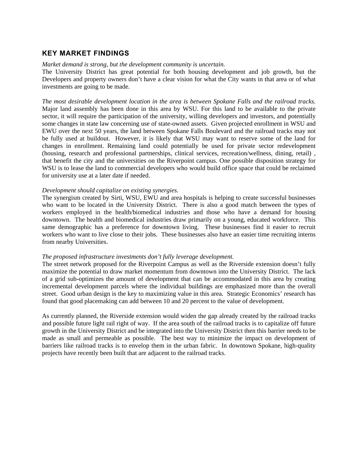# **KEY MARKET FINDINGS**

#### *Market demand is strong, but the development community is uncertain.*

The University District has great potential for both housing development and job growth, but the Developers and property owners don't have a clear vision for what the City wants in that area or of what investments are going to be made.

*The most desirable development location in the area is between Spokane Falls and the railroad tracks.* Major land assembly has been done in this area by WSU. For this land to be available to the private sector, it will require the participation of the university, willing developers and investors, and potentially some changes in state law concerning use of state-owned assets. Given projected enrollment in WSU and EWU over the next 50 years, the land between Spokane Falls Boulevard and the railroad tracks may not be fully used at buildout. However, it is likely that WSU may want to reserve some of the land for changes in enrollment. Remaining land could potentially be used for private sector redevelopment (housing, research and professional partnerships, clinical services, recreation/wellness, dining, retail) , that benefit the city and the universities on the Riverpoint campus. One possible disposition strategy for WSU is to lease the land to commercial developers who would build office space that could be reclaimed for university use at a later date if needed.

#### *Development should capitalize on existing synergies.*

The synergism created by Sirti, WSU, EWU and area hospitals is helping to create successful businesses who want to be located in the University District. There is also a good match between the types of workers employed in the health/biomedical industries and those who have a demand for housing downtown. The health and biomedical industries draw primarily on a young, educated workforce. This same demographic has a preference for downtown living. These businesses find it easier to recruit workers who want to live close to their jobs. These businesses also have an easier time recruiting interns from nearby Universities.

#### *The proposed infrastructure investments don't fully leverage development.*

The street network proposed for the Riverpoint Campus as well as the Riverside extension doesn't fully maximize the potential to draw market momentum from downtown into the University District. The lack of a grid sub-optimizes the amount of development that can be accommodated in this area by creating incremental development parcels where the individual buildings are emphasized more than the overall street. Good urban design is the key to maximizing value in this area. Strategic Economics' research has found that good placemaking can add between 10 and 20 percent to the value of development.

As currently planned, the Riverside extension would widen the gap already created by the railroad tracks and possible future light rail right of way. If the area south of the railroad tracks is to capitalize off future growth in the University District and be integrated into the University District then this barrier needs to be made as small and permeable as possible. The best way to minimize the impact on development of barriers like railroad tracks is to envelop them in the urban fabric. In downtown Spokane, high-quality projects have recently been built that are adjacent to the railroad tracks.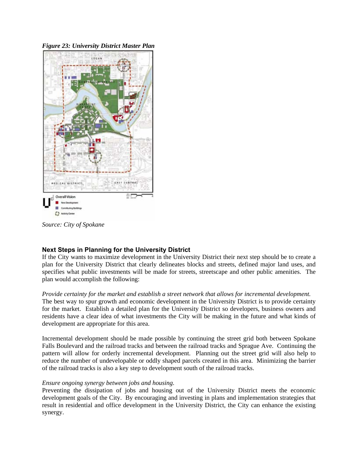*Figure 23: University District Master Plan*



*Source: City of Spokane* 

# **Next Steps in Planning for the University District**

If the City wants to maximize development in the University District their next step should be to create a plan for the University District that clearly delineates blocks and streets, defined major land uses, and specifies what public investments will be made for streets, streetscape and other public amenities. The plan would accomplish the following:

#### *Provide certainty for the market and establish a street network that allows for incremental development.*

The best way to spur growth and economic development in the University District is to provide certainty for the market. Establish a detailed plan for the University District so developers, business owners and residents have a clear idea of what investments the City will be making in the future and what kinds of development are appropriate for this area.

Incremental development should be made possible by continuing the street grid both between Spokane Falls Boulevard and the railroad tracks and between the railroad tracks and Sprague Ave. Continuing the pattern will allow for orderly incremental development. Planning out the street grid will also help to reduce the number of undevelopable or oddly shaped parcels created in this area. Minimizing the barrier of the railroad tracks is also a key step to development south of the railroad tracks.

## *Ensure ongoing synergy between jobs and housing*.

Preventing the dissipation of jobs and housing out of the University District meets the economic development goals of the City. By encouraging and investing in plans and implementation strategies that result in residential and office development in the University District, the City can enhance the existing synergy.